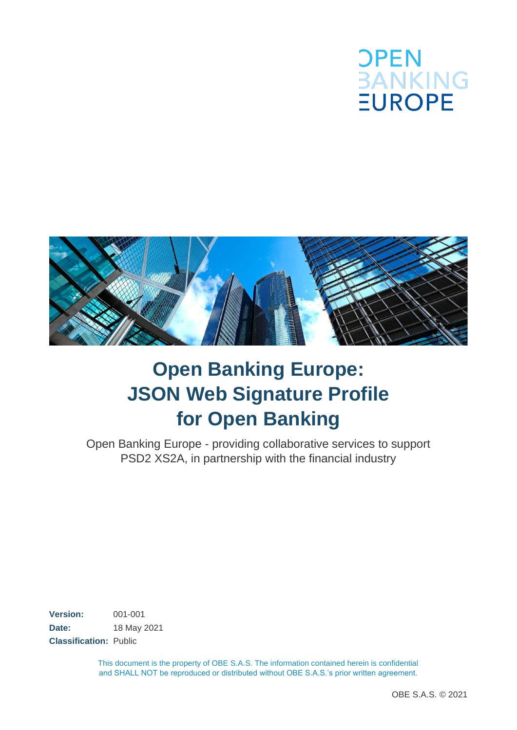



# **Open Banking Europe: JSON Web Signature Profile for Open Banking**

Open Banking Europe - providing collaborative services to support PSD2 XS2A, in partnership with the financial industry

**Version:** 001-001 **Date:** 18 May 2021 **Classification:** Public

> This document is the property of OBE S.A.S. The information contained herein is confidential and SHALL NOT be reproduced or distributed without OBE S.A.S.'s prior written agreement.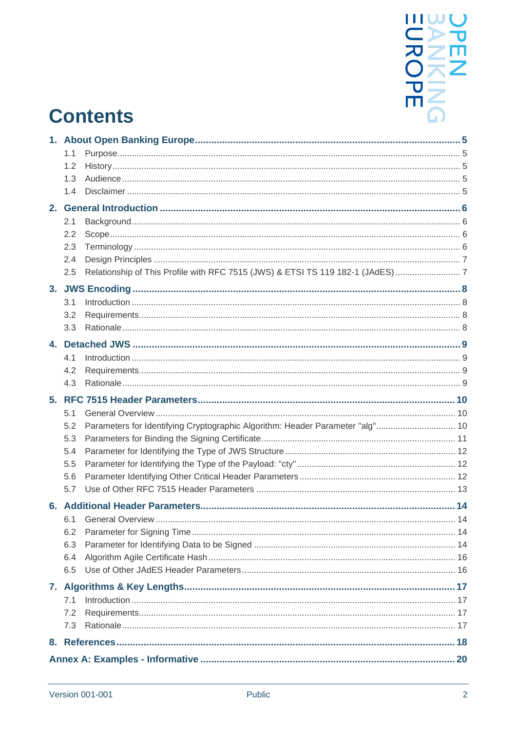

# **Contents**

|    | 1.1 |                                                                               |    |  |  |  |
|----|-----|-------------------------------------------------------------------------------|----|--|--|--|
|    | 1.2 |                                                                               |    |  |  |  |
|    | 1.3 |                                                                               |    |  |  |  |
|    | 1.4 |                                                                               |    |  |  |  |
|    |     |                                                                               |    |  |  |  |
|    | 2.1 |                                                                               |    |  |  |  |
|    | 2.2 |                                                                               |    |  |  |  |
|    | 2.3 |                                                                               |    |  |  |  |
|    | 2.4 |                                                                               |    |  |  |  |
|    | 2.5 |                                                                               |    |  |  |  |
|    |     |                                                                               |    |  |  |  |
|    | 3.1 |                                                                               |    |  |  |  |
|    | 3.2 |                                                                               |    |  |  |  |
|    | 3.3 |                                                                               |    |  |  |  |
| 4. |     |                                                                               |    |  |  |  |
|    | 4.1 |                                                                               |    |  |  |  |
|    | 4.2 |                                                                               |    |  |  |  |
|    | 4.3 |                                                                               |    |  |  |  |
|    |     |                                                                               |    |  |  |  |
|    | 5.1 |                                                                               |    |  |  |  |
|    | 5.2 | Parameters for Identifying Cryptographic Algorithm: Header Parameter "alg" 10 |    |  |  |  |
|    | 5.3 |                                                                               |    |  |  |  |
|    | 5.4 |                                                                               |    |  |  |  |
|    | 5.5 |                                                                               |    |  |  |  |
|    | 5.6 |                                                                               |    |  |  |  |
|    | 5.7 |                                                                               |    |  |  |  |
|    |     |                                                                               |    |  |  |  |
|    |     | 6.1 General Overview                                                          | 14 |  |  |  |
|    | 6.2 |                                                                               |    |  |  |  |
|    | 6.3 |                                                                               |    |  |  |  |
|    | 6.4 |                                                                               |    |  |  |  |
|    | 6.5 |                                                                               |    |  |  |  |
|    |     |                                                                               |    |  |  |  |
|    | 7.1 |                                                                               |    |  |  |  |
|    | 7.2 |                                                                               |    |  |  |  |
|    | 7.3 |                                                                               |    |  |  |  |
|    |     |                                                                               |    |  |  |  |
|    |     |                                                                               |    |  |  |  |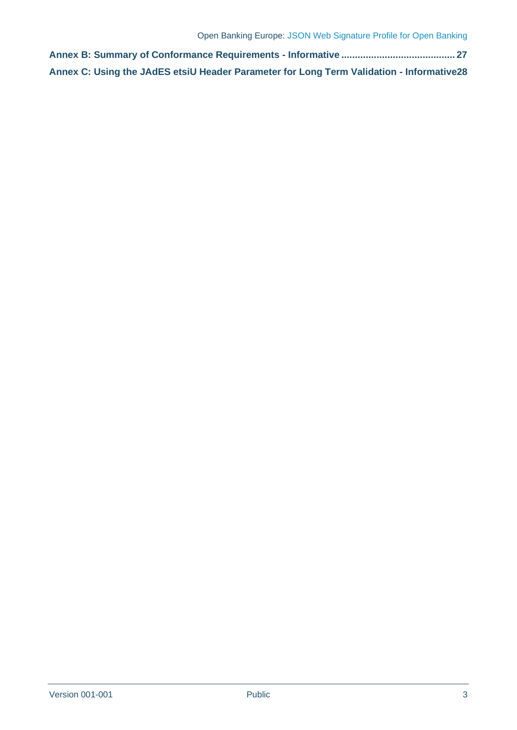**[Annex B: Summary of Conformance Requirements -](#page-26-0) Informative .......................................... 27 [Annex C: Using the JAdES etsiU Header Parameter for Long Term Validation -](#page-27-0) Informative28**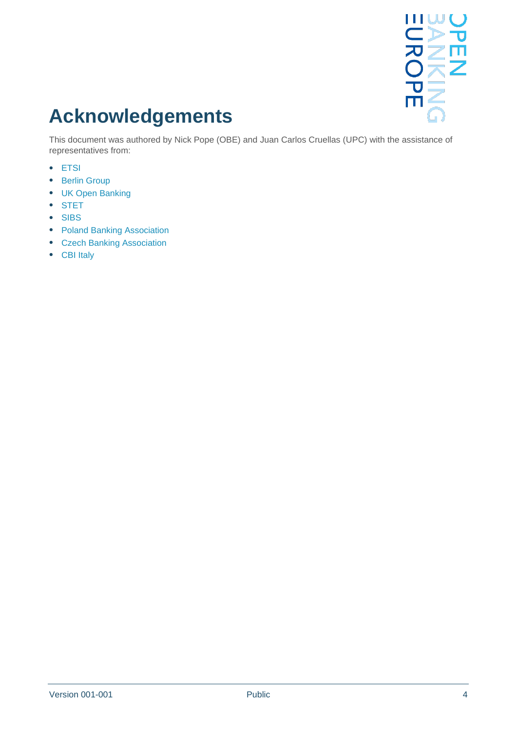

# **Acknowledgements**

This document was authored by Nick Pope (OBE) and Juan Carlos Cruellas (UPC) with the assistance of representatives from:

- ETSI
- Berlin Group
- UK Open Banking
- STET
- SIBS
- Poland Banking Association
- Czech Banking Association
- CBI Italy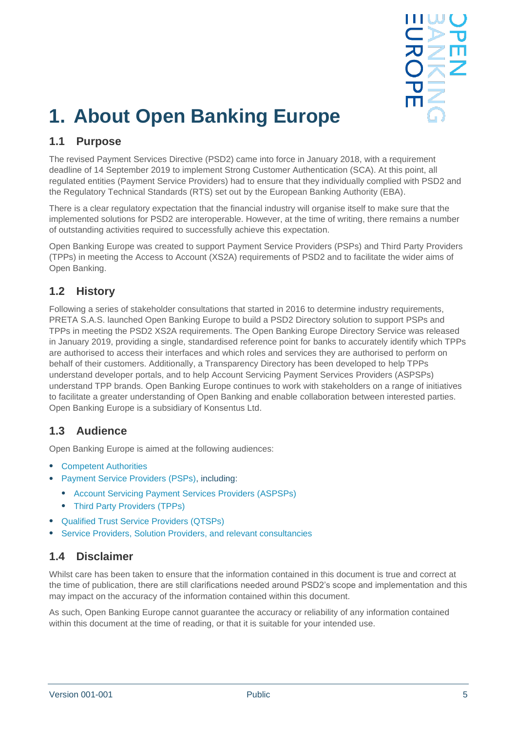

# <span id="page-4-0"></span>**1. About Open Banking Europe**

## <span id="page-4-1"></span>**1.1 Purpose**

The revised Payment Services Directive (PSD2) came into force in January 2018, with a requirement deadline of 14 September 2019 to implement Strong Customer Authentication (SCA). At this point, all regulated entities (Payment Service Providers) had to ensure that they individually complied with PSD2 and the Regulatory Technical Standards (RTS) set out by the European Banking Authority (EBA).

There is a clear regulatory expectation that the financial industry will organise itself to make sure that the implemented solutions for PSD2 are interoperable. However, at the time of writing, there remains a number of outstanding activities required to successfully achieve this expectation.

Open Banking Europe was created to support Payment Service Providers (PSPs) and Third Party Providers (TPPs) in meeting the Access to Account (XS2A) requirements of PSD2 and to facilitate the wider aims of Open Banking.

## <span id="page-4-2"></span>**1.2 History**

Following a series of stakeholder consultations that started in 2016 to determine industry requirements, PRETA S.A.S. launched Open Banking Europe to build a PSD2 Directory solution to support PSPs and TPPs in meeting the PSD2 XS2A requirements. The Open Banking Europe Directory Service was released in January 2019, providing a single, standardised reference point for banks to accurately identify which TPPs are authorised to access their interfaces and which roles and services they are authorised to perform on behalf of their customers. Additionally, a Transparency Directory has been developed to help TPPs understand developer portals, and to help Account Servicing Payment Services Providers (ASPSPs) understand TPP brands. Open Banking Europe continues to work with stakeholders on a range of initiatives to facilitate a greater understanding of Open Banking and enable collaboration between interested parties. Open Banking Europe is a subsidiary of Konsentus Ltd.

## <span id="page-4-3"></span>**1.3 Audience**

Open Banking Europe is aimed at the following audiences:

- Competent Authorities
- Payment Service Providers (PSPs), including:
	- Account Servicing Payment Services Providers (ASPSPs)
	- Third Party Providers (TPPs)
- Qualified Trust Service Providers (QTSPs)
- Service Providers, Solution Providers, and relevant consultancies

## <span id="page-4-4"></span>**1.4 Disclaimer**

Whilst care has been taken to ensure that the information contained in this document is true and correct at the time of publication, there are still clarifications needed around PSD2's scope and implementation and this may impact on the accuracy of the information contained within this document.

As such, Open Banking Europe cannot guarantee the accuracy or reliability of any information contained within this document at the time of reading, or that it is suitable for your intended use.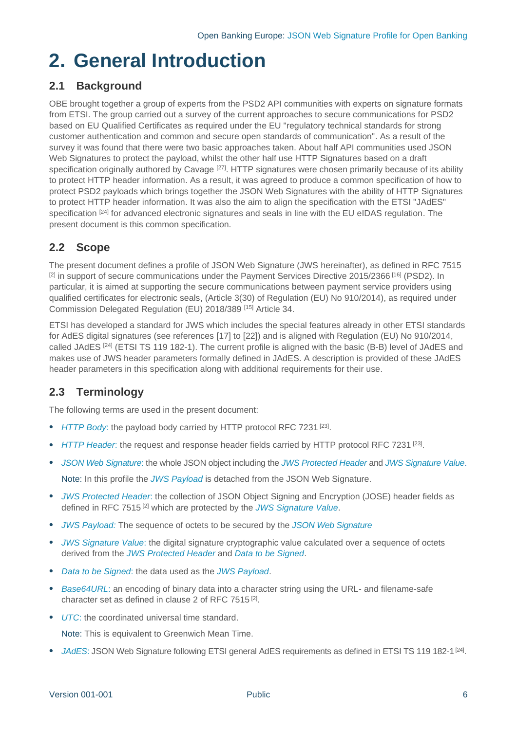## <span id="page-5-0"></span>**2. General Introduction**

## <span id="page-5-1"></span>**2.1 Background**

OBE brought together a group of experts from the PSD2 API communities with experts on signature formats from ETSI. The group carried out a survey of the current approaches to secure communications for PSD2 based on EU Qualified Certificates as required under the EU "regulatory technical standards for strong customer authentication and common and secure open standards of communication". As a result of the survey it was found that there were two basic approaches taken. About half API communities used JSON Web Signatures to protect the payload, whilst the other half use HTTP Signatures based on a draft specification originally authored by Cavage <sup>[\[27\]](#page-18-0)</sup>. HTTP signatures were chosen primarily because of its ability to protect HTTP header information. As a result, it was agreed to produce a common specification of how to protect PSD2 payloads which brings together the JSON Web Signatures with the ability of HTTP Signatures to protect HTTP header information. It was also the aim to align the specification with the ETSI "JAdES" specification <sup>[\[24\]](#page-18-1)</sup> for advanced electronic signatures and seals in line with the EU eIDAS regulation. The present document is this common specification.

## <span id="page-5-2"></span>**2.2 Scope**

The present document defines a profile of JSON Web Signature (JWS hereinafter), as defined in RFC 7515 <sup>[\[2\]](#page-17-1)</sup> in support of secure communications under the Payment Services Directive 2015/2366 <sup>[16]</sup> (PSD2). In particular, it is aimed at supporting the secure communications between payment service providers using qualified certificates for electronic seals, (Article 3(30) of Regulation (EU) No 910/2014), as required under Commission Delegated Regulation (EU) 2018/389 [\[15\]](#page-17-2) Article 34.

ETSI has developed a standard for JWS which includes the special features already in other ETSI standards for AdES digital signatures (see references [\[17\]](#page-17-3) to [\[22\]\)](#page-18-2) and is aligned with Regulation (EU) No 910/2014, called JAdES<sup>[\[24\]](#page-18-1)</sup> (ETSI TS 119 182-1). The current profile is aligned with the basic (B-B) level of JAdES and makes use of JWS header parameters formally defined in JAdES. A description is provided of these JAdES header parameters in this specification along with additional requirements for their use.

## <span id="page-5-3"></span>**2.3 Terminology**

The following terms are used in the present document:

- <span id="page-5-8"></span>• *HTTP Body*: the payload body carried by HTTP protocol RFC 7231<sup>[\[23\]](#page-18-3)</sup>.
- <span id="page-5-9"></span>• *HTTP Header*: the request and response header fields carried by HTTP protocol RFC 7231<sup>[\[23\]](#page-18-3)</sup>.
- <span id="page-5-10"></span>• *JSON Web Signature*: the whole JSON object including the *[JWS Protected Header](#page-5-4)* and *[JWS Signature Value](#page-5-5)*. Note: In this profile the *[JWS Payload](#page-5-6)* is detached from the JSON Web Signature.
- <span id="page-5-4"></span>• *JWS Protected Header*: the collection of JSON Object Signing and Encryption (JOSE) header fields as defined in RFC 7515 [\[2\]](#page-17-1) which are protected by the *[JWS Signature Value](#page-5-5)*.
- <span id="page-5-6"></span>• *JWS Payload:* The sequence of octets to be secured by the *JSON Web Signature*
- <span id="page-5-5"></span>• *JWS Signature Value*: the digital signature cryptographic value calculated over a sequence of octets derived from the *[JWS Protected Header](#page-5-4)* and *[Data to be Signed](#page-5-7)*.
- <span id="page-5-7"></span>• *Data to be Signed*: the data used as the *[JWS Payload](#page-5-6)*.
- <span id="page-5-11"></span>• *Base64URL*: an encoding of binary data into a character string using the URL- and filename-safe character set as defined in clause 2 of [RFC 7515](#page-17-4)<sup>[\[2\]](#page-17-1)</sup>.
- *UTC*: the coordinated universal time standard.

Note: This is equivalent to Greenwich Mean Time.

• *JAdES*: JSON Web Signature following ETSI general AdES requirements as defined in ETSI TS 119 182-1<sup>[\[24\]](#page-18-1)</sup>.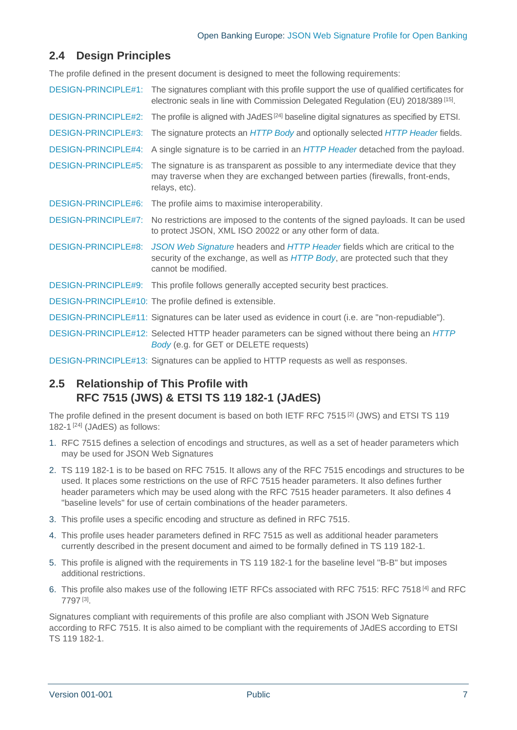## <span id="page-6-0"></span>**2.4 Design Principles**

The profile defined in the present document is designed to meet the following requirements:

<span id="page-6-11"></span><span id="page-6-7"></span><span id="page-6-6"></span><span id="page-6-4"></span><span id="page-6-3"></span><span id="page-6-2"></span>

|                            | DESIGN-PRINCIPLE#1: The signatures compliant with this profile support the use of qualified certificates for<br>electronic seals in line with Commission Delegated Regulation (EU) 2018/389 <sup>[15]</sup> . |
|----------------------------|---------------------------------------------------------------------------------------------------------------------------------------------------------------------------------------------------------------|
| <b>DESIGN-PRINCIPLE#2:</b> | The profile is aligned with $JAdES^{[24]}$ baseline digital signatures as specified by ETSI.                                                                                                                  |
| <b>DESIGN-PRINCIPLE#3:</b> | The signature protects an HTTP Body and optionally selected HTTP Header fields.                                                                                                                               |
| <b>DESIGN-PRINCIPLE#4:</b> | A single signature is to be carried in an HTTP Header detached from the payload.                                                                                                                              |
| <b>DESIGN-PRINCIPLE#5:</b> | The signature is as transparent as possible to any intermediate device that they<br>may traverse when they are exchanged between parties (firewalls, front-ends,<br>relays, etc).                             |
| DESIGN-PRINCIPLE#6:        | The profile aims to maximise interoperability.                                                                                                                                                                |
| <b>DESIGN-PRINCIPLE#7:</b> | No restrictions are imposed to the contents of the signed payloads. It can be used<br>to protect JSON, XML ISO 20022 or any other form of data.                                                               |
| DESIGN-PRINCIPLE#8:        | JSON Web Signature headers and HTTP Header fields which are critical to the<br>security of the exchange, as well as HTTP Body, are protected such that they<br>cannot be modified.                            |
| <b>DESIGN-PRINCIPLE#9:</b> | This profile follows generally accepted security best practices.                                                                                                                                              |
|                            | DESIGN-PRINCIPLE#10: The profile defined is extensible.                                                                                                                                                       |
|                            | DESIGN-PRINCIPLE#11: Signatures can be later used as evidence in court (i.e. are "non-repudiable").                                                                                                           |
|                            | DESIGN-PRINCIPLE#12: Selected HTTP header parameters can be signed without there being an HTTP<br>Body (e.g. for GET or DELETE requests)                                                                      |
|                            | DECIONI DDINOIDI E440. Cinegluze son ha spoliad to UTTD requests as utalize response                                                                                                                          |

<span id="page-6-10"></span><span id="page-6-9"></span><span id="page-6-8"></span><span id="page-6-5"></span>[DESIGN-PRINCIPLE#1](#page-6-2)3: Signatures can be applied to HTTP requests as well as responses.

## <span id="page-6-1"></span>**2.5 Relationship of This Profile with RFC 7515 (JWS) & ETSI TS 119 182-1 (JAdES)**

The profile defined in the present document is based on both IETF RFC 7515<sup>[\[2\]](#page-17-1)</sup> (JWS) and ETSI TS 119 182-1<sup>[\[24\]](#page-18-1)</sup> (JAdES) as follows:

- 1. RFC 7515 defines a selection of encodings and structures, as well as a set of header parameters which may be used for JSON Web Signatures
- 2. TS 119 182-1 is to be based on RFC 7515. It allows any of the RFC 7515 encodings and structures to be used. It places some restrictions on the use of RFC 7515 header parameters. It also defines further header parameters which may be used along with the RFC 7515 header parameters. It also defines 4 "baseline levels" for use of certain combinations of the header parameters.
- 3. This profile uses a specific encoding and structure as defined in RFC 7515.
- 4. This profile uses header parameters defined in RFC 7515 as well as additional header parameters currently described in the present document and aimed to be formally defined in TS 119 182-1.
- 5. This profile is aligned with the requirements in TS 119 182-1 for the baseline level "B-B" but imposes additional restrictions.
- 6. This profile also makes use of the following IETF RFCs associated with RFC 7515: RFC 7518 [\[4\]](#page-17-5) and RFC 7797 [\[3\]](#page-17-6) .

Signatures compliant with requirements of this profile are also compliant with JSON Web Signature according to RFC 7515. It is also aimed to be compliant with the requirements of JAdES according to ETSI TS 119 182-1.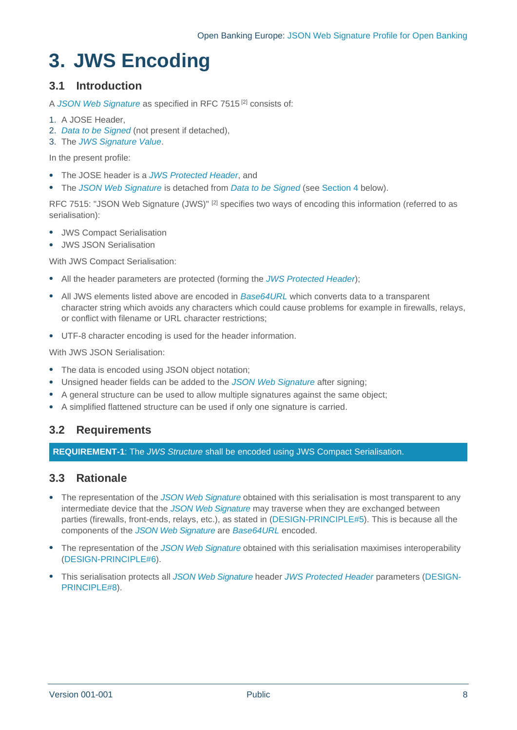# <span id="page-7-0"></span>**3. JWS Encoding**

## <span id="page-7-1"></span>**3.1 Introduction**

A *[JSON Web Signature](#page-5-10)* as specified in [RFC 7515](#page-17-4) [\[2\]](#page-17-1) consists of:

- 1. A JOSE Header,
- 2. *[Data to be Signed](#page-5-7)* (not present if detached),
- 3. The *[JWS Signature Value](#page-5-5)*.

In the present profile:

- The JOSE header is a *[JWS Protected Header](#page-5-4)*, and
- The *[JSON Web Signature](#page-5-10)* is detached from *[Data to be Signed](#page-5-7)* (see Section [4](#page-8-0) below).

[RFC 7515: "JSON Web Signature \(JWS\)"](#page-17-4) <sup>[\[2\]](#page-17-1)</sup> specifies two ways of encoding this information (referred to as serialisation):

- JWS Compact Serialisation
- JWS JSON Serialisation

With JWS Compact Serialisation:

- All the header parameters are protected (forming the *[JWS Protected Header](#page-5-4)*);
- All JWS elements listed above are encoded in *[Base64URL](#page-5-11)* which converts data to a transparent character string which avoids any characters which could cause problems for example in firewalls, relays, or conflict with filename or URL character restrictions;
- UTF-8 character encoding is used for the header information.

With JWS JSON Serialisation:

- The data is encoded using JSON object notation;
- Unsigned header fields can be added to the *[JSON Web Signature](#page-5-10)* after signing;
- A general structure can be used to allow multiple signatures against the same object;
- A simplified flattened structure can be used if only one signature is carried.

## <span id="page-7-2"></span>**3.2 Requirements**

**REQUIREMENT-1**: The *JWS Structure* shall be encoded using JWS Compact Serialisation.

## <span id="page-7-3"></span>**3.3 Rationale**

- The representation of the *[JSON Web Signature](#page-5-10)* obtained with this serialisation is most transparent to any intermediate device that the *[JSON Web Signature](#page-5-10)* may traverse when they are exchanged between parties (firewalls, front-ends, relays, etc.), as stated in [\(DESIGN-PRINCIPLE#5\)](#page-6-3). This is because all the components of the *[JSON Web Signature](#page-5-10)* are *[Base64URL](#page-5-11)* encoded.
- The representation of the *[JSON Web Signature](#page-5-10)* obtained with this serialisation maximises interoperability [\(DESIGN-PRINCIPLE#6\)](#page-6-4).
- This serialisation protects all *[JSON Web Signature](#page-5-10)* header *[JWS Protected Header](#page-5-4)* parameters [\(DESIGN-](#page-6-5)[PRINCIPLE#8\)](#page-6-5).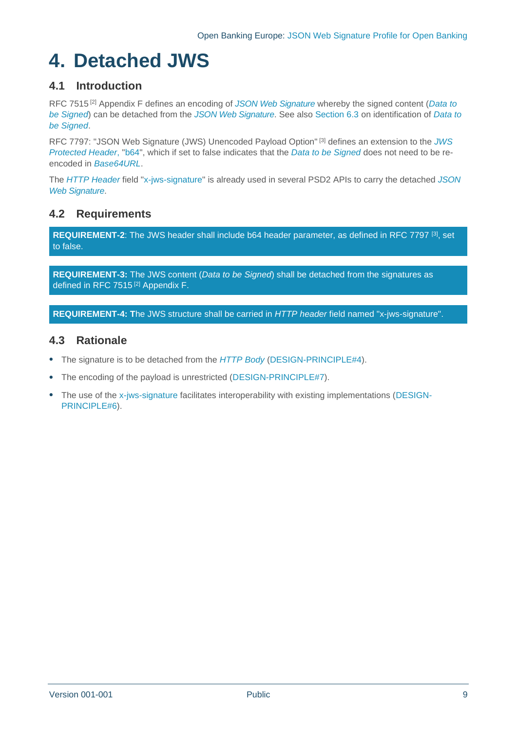# <span id="page-8-0"></span>**4. Detached JWS**

## <span id="page-8-1"></span>**4.1 Introduction**

[RFC 7515](#page-17-4) [\[2\]](#page-17-1) Appendix F defines an encoding of *[JSON Web Signature](#page-5-10)* whereby the signed content (*[Data to](#page-5-7)  [be Signed](#page-5-7)*) can be detached from the *[JSON Web Signature](#page-5-10)*. See also Section [6.3](#page-13-3) on identification of *[Data to](#page-5-7)  [be Signed](#page-5-7)*.

[RFC 7797: "JSON Web Signature \(JWS\) Unencoded Payload Option"](#page-17-7) [\[3\]](#page-17-6) defines an extension to the *[JWS](#page-5-4)  [Protected Header](#page-5-4)*, "b64", which if set to false indicates that the *[Data to be Signed](#page-5-7)* does not need to be reencoded in *[Base64URL](#page-5-11)*.

The *[HTTP Header](#page-5-9)* field "x-jws-signature" is already used in several PSD2 APIs to carry the detached *[JSON](#page-5-10)  [Web Signature](#page-5-10)*.

## <span id="page-8-2"></span>**4.2 Requirements**

**REQUIREMENT-2**: The JWS header shall include b64 header parameter, as defined in RFC 7797 [\[3\]](#page-17-6) , set to false.

**REQUIREMENT-3:** The JWS content (*Data to be Signed*) shall be detached from the signatures as defined in [RFC 7515](#page-17-4)<sup>[\[2\]](#page-17-1)</sup> Appendix F.

**REQUIREMENT-4: T**he JWS structure shall be carried in *HTTP header* field named "x-jws-signature".

## <span id="page-8-3"></span>**4.3 Rationale**

- The signature is to be detached from the *[HTTP](#page-5-8) Body* [\(DESIGN-PRINCIPLE#4\)](#page-6-6).
- The encoding of the payload is unrestricted [\(DESIGN-PRINCIPLE#7\)](#page-6-7).
- The use of the x-iws-signature facilitates interoperability with existing implementations [\(DESIGN-](#page-6-4)[PRINCIPLE#6\)](#page-6-4).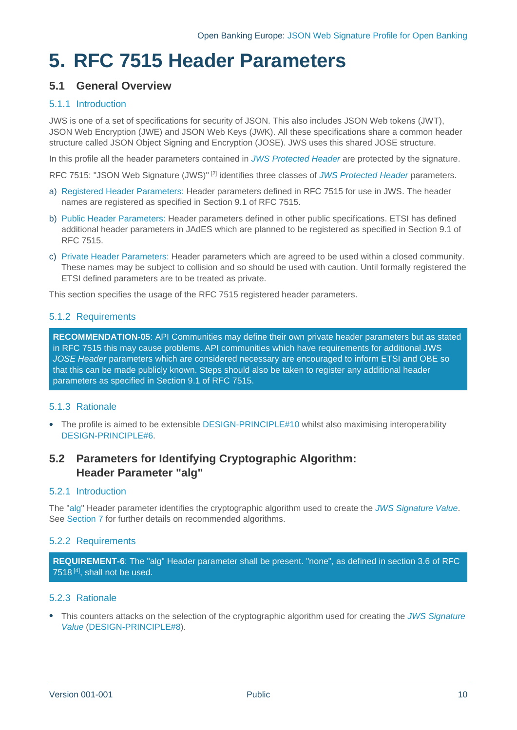# <span id="page-9-0"></span>**5. RFC 7515 Header Parameters**

## <span id="page-9-1"></span>**5.1 General Overview**

## 5.1.1 Introduction

JWS is one of a set of specifications for security of JSON. This also includes JSON Web tokens (JWT), JSON Web Encryption (JWE) and JSON Web Keys (JWK). All these specifications share a common header structure called JSON Object Signing and Encryption (JOSE). JWS uses this shared JOSE structure.

In this profile all the header parameters contained in *[JWS Protected Header](#page-5-4)* are protected by the signature.

[RFC 7515: "JSON Web Signature \(JWS\)"](#page-17-4) [\[2\]](#page-17-1) identifies three classes of *[JWS Protected Header](#page-5-4)* parameters.

- a) Registered Header Parameters: Header parameters defined in RFC 7515 for use in JWS. The header names are registered as specified in Section 9.1 of RFC 7515.
- b) Public Header Parameters: Header parameters defined in other public specifications. ETSI has defined additional header parameters in JAdES which are planned to be registered as specified in Section 9.1 of RFC 7515.
- c) Private Header Parameters: Header parameters which are agreed to be used within a closed community. These names may be subject to collision and so should be used with caution. Until formally registered the ETSI defined parameters are to be treated as private.

This section specifies the usage of the RFC 7515 registered header parameters.

## <span id="page-9-3"></span>5.1.2 Requirements

**RECOMMENDATION-05**: API Communities may define their own private header parameters but as stated in RFC 7515 this may cause problems. API communities which have requirements for additional JWS *JOSE Header* parameters which are considered necessary are encouraged to inform ETSI and OBE so that this can be made publicly known. Steps should also be taken to register any additional header parameters as specified in Section 9.1 of RFC 7515.

## 5.1.3 Rationale

• The profile is aimed to be extensible [DESIGN-PRINCIPLE#10](#page-6-8) whilst also maximising interoperability [DESIGN-PRINCIPLE#6.](#page-6-4)

## <span id="page-9-2"></span>**5.2 Parameters for Identifying Cryptographic Algorithm: Header Parameter "alg"**

## 5.2.1 Introduction

The "alg" Header parameter identifies the cryptographic algorithm used to create the *[JWS Signature Value](#page-5-5)*. See Section [7](#page-16-0) for further details on recommended algorithms.

## 5.2.2 Requirements

**REQUIREMENT-6**: The "alg" Header parameter shall be present. "none", as defined in section 3.6 of RFC 7518<sup>[\[4\]](#page-17-5)</sup>, shall not be used.

## 5.2.3 Rationale

• This counters attacks on the selection of the cryptographic algorithm used for creating the *[JWS Signature](#page-5-5)  [Value](#page-5-5)* [\(DESIGN-PRINCIPLE#8\)](#page-6-5).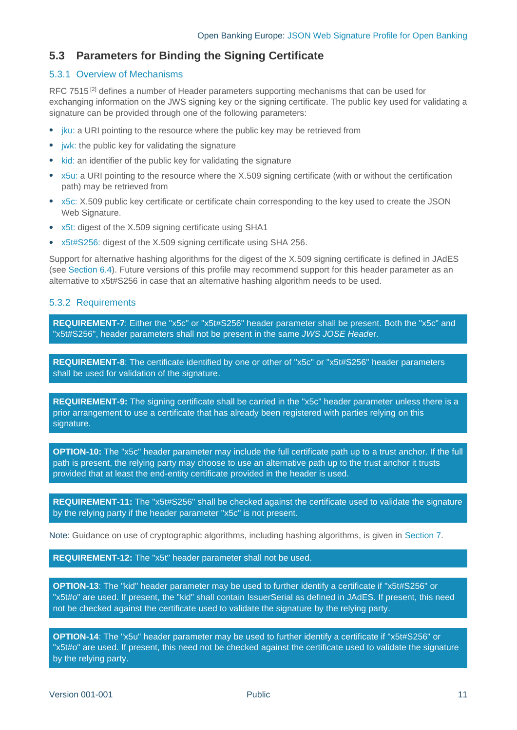## <span id="page-10-0"></span>**5.3 Parameters for Binding the Signing Certificate**

## 5.3.1 Overview of Mechanisms

[RFC 7515](#page-17-4)<sup>[\[2\]](#page-17-1)</sup> defines a number of Header parameters supporting mechanisms that can be used for exchanging information on the JWS signing key or the signing certificate. The public key used for validating a signature can be provided through one of the following parameters:

- jku: a URI pointing to the resource where the public key may be retrieved from
- jwk: the public key for validating the signature
- kid: an identifier of the public key for validating the signature
- x5u: a URI pointing to the resource where the X.509 signing certificate (with or without the certification path) may be retrieved from
- x5c: X.509 public key certificate or certificate chain corresponding to the key used to create the JSON Web Signature.
- x5t: digest of the X.509 signing certificate using SHA1
- x5t#S256: digest of the X.509 signing certificate using SHA 256.

Support for alternative hashing algorithms for the digest of the X.509 signing certificate is defined in JAdES (see Section [6.4\)](#page-15-0). Future versions of this profile may recommend support for this header parameter as an alternative to x5t#S256 in case that an alternative hashing algorithm needs to be used.

## 5.3.2 Requirements

**REQUIREMENT-7**: Either the "x5c" or "x5t#S256" header parameter shall be present. Both the "x5c" and "x5t#S256", header parameters shall not be present in the same *JWS JOSE Head*er.

**REQUIREMENT-8**: The certificate identified by one or other of "x5c" or "x5t#S256" header parameters shall be used for validation of the signature.

**REQUIREMENT-9:** The signing certificate shall be carried in the "x5c" header parameter unless there is a prior arrangement to use a certificate that has already been registered with parties relying on this signature.

**OPTION-10:** The "x5c" header parameter may include the full certificate path up to a trust anchor. If the full path is present, the relying party may choose to use an alternative path up to the trust anchor it trusts provided that at least the end-entity certificate provided in the header is used.

**REQUIREMENT-11:** The "x5t#S256" shall be checked against the certificate used to validate the signature by the relying party if the header parameter "x5c" is not present.

Note: Guidance on use of cryptographic algorithms, including hashing algorithms, is given in Section [7.](#page-16-0)

**REQUIREMENT-12:** The "x5t" header parameter shall not be used.

**OPTION-13**: The "kid" header parameter may be used to further identify a certificate if "x5t#S256" or "x5t#o" are used. If present, the "kid" shall contain IssuerSerial as defined in JAdES. If present, this need not be checked against the certificate used to validate the signature by the relying party.

**OPTION-14**: The "x5u" header parameter may be used to further identify a certificate if "x5t#S256" or "x5t#o" are used. If present, this need not be checked against the certificate used to validate the signature by the relying party.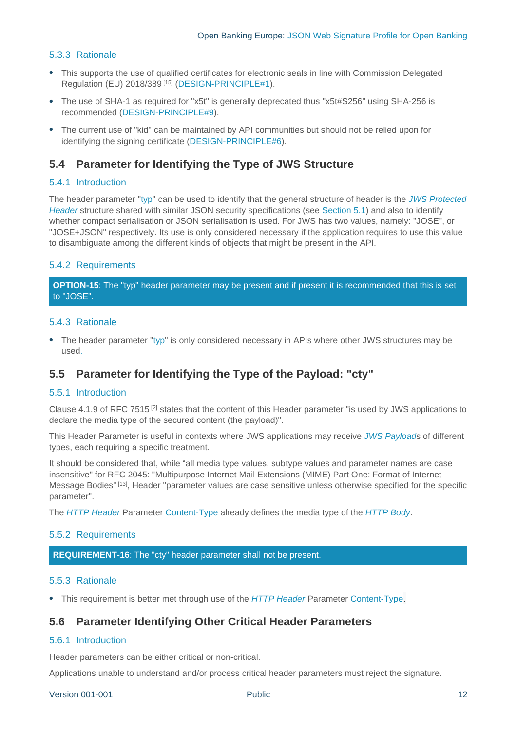## 5.3.3 Rationale

- This supports the use of qualified certificates for electronic seals in line with Commission Delegated Regulation (EU) 2018/389<sup>[15]</sup> [\(DESIGN-PRINCIPLE#1\)](#page-6-2).
- The use of SHA-1 as required for "x5t" is generally deprecated thus "x5t#S256" using SHA-256 is recommended [\(DESIGN-PRINCIPLE#9\)](#page-6-9).
- The current use of "kid" can be maintained by API communities but should not be relied upon for identifying the signing certificate [\(DESIGN-PRINCIPLE#6\)](#page-6-4).

## <span id="page-11-0"></span>**5.4 Parameter for Identifying the Type of JWS Structure**

#### 5.4.1 Introduction

The header parameter "typ" can be used to identify that the general structure of header is the *[JWS Protected](#page-5-4)  [Header](#page-5-4)* structure shared with similar JSON security specifications (see Section [5.1\)](#page-9-1) and also to identify whether compact serialisation or JSON serialisation is used. For JWS has two values, namely: "JOSE", or "JOSE+JSON" respectively. Its use is only considered necessary if the application requires to use this value to disambiguate among the different kinds of objects that might be present in the API.

## 5.4.2 Requirements

**OPTION-15**: The "typ" header parameter may be present and if present it is recommended that this is set to "JOSE".

#### 5.4.3 Rationale

• The header parameter "typ" is only considered necessary in APIs where other JWS structures may be used.

## <span id="page-11-1"></span>**5.5 Parameter for Identifying the Type of the Payload: "cty"**

#### 5.5.1 Introduction

Clause 4.1.9 of [RFC 7515](#page-17-4) [\[2\]](#page-17-1) states that the content of this Header parameter "is used by JWS applications to declare the media type of the secured content (the payload)".

This Header Parameter is useful in contexts where JWS applications may receive *[JWS Payload](#page-5-6)*s of different types, each requiring a specific treatment.

It should be considered that, while "all media type values, subtype values and parameter names are case insensitive" for [RFC 2045: "Multipurpose Internet Mail Extensions \(MIME\) Part One: Format of Internet](#page-17-8)  [Message Bodies"](#page-17-8)<sup>[\[13\]](#page-17-9)</sup>, Header "parameter values are case sensitive unless otherwise specified for the specific parameter".

The *[HTTP Header](#page-5-9)* Parameter Content-Type already defines the media type of the *[HTTP](#page-5-8) Body*.

#### 5.5.2 Requirements

**REQUIREMENT-16**: The "cty" header parameter shall not be present.

#### 5.5.3 Rationale

• This requirement is better met through use of the *[HTTP Header](#page-5-9)* Parameter Content-Type.

## <span id="page-11-2"></span>**5.6 Parameter Identifying Other Critical Header Parameters**

## 5.6.1 Introduction

Header parameters can be either critical or non-critical.

Applications unable to understand and/or process critical header parameters must reject the signature.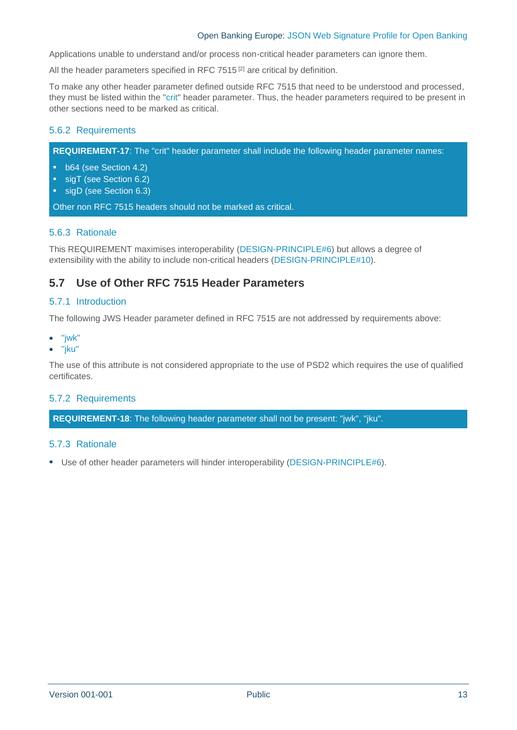#### Open Banking Europe: JSON Web Signature Profile for Open Banking

Applications unable to understand and/or process non-critical header parameters can ignore them.

All the header parameters specified in [RFC 7515](#page-17-4) $[2]$  are critical by definition.

To make any other header parameter defined outside RFC 7515 that need to be understood and processed, they must be listed within the "crit" header parameter. Thus, the header parameters required to be present in other sections need to be marked as critical.

## 5.6.2 Requirements

**REQUIREMENT-17**: The "crit" header parameter shall include the following header parameter names:

- b64 (see Section [4.2\)](#page-8-2)
- sigT (see Section [6.2\)](#page-13-2)
- sigD (see Section [6.3\)](#page-13-3)

Other non RFC 7515 headers should not be marked as critical.

#### 5.6.3 Rationale

This REQUIREMENT maximises interoperability [\(DESIGN-PRINCIPLE#6\)](#page-6-4) but allows a degree of extensibility with the ability to include non-critical headers [\(DESIGN-PRINCIPLE#10\)](#page-6-8).

## <span id="page-12-0"></span>**5.7 Use of Other RFC 7515 Header Parameters**

#### 5.7.1 Introduction

The following JWS Header parameter defined in RFC 7515 are not addressed by requirements above:

- "jwk"
- "jku"

The use of this attribute is not considered appropriate to the use of PSD2 which requires the use of qualified certificates.

#### 5.7.2 Requirements

**REQUIREMENT-18**: The following header parameter shall not be present: "jwk", "jku".

#### 5.7.3 Rationale

• Use of other header parameters will hinder interoperability [\(DESIGN-PRINCIPLE#6\)](#page-6-4).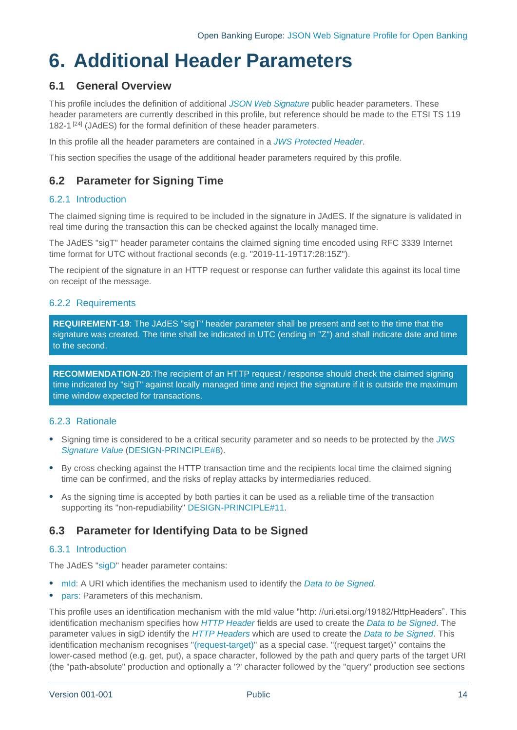## <span id="page-13-0"></span>**6. Additional Header Parameters**

## <span id="page-13-1"></span>**6.1 General Overview**

This profile includes the definition of additional *[JSON Web Signature](#page-5-10)* public header parameters. These header parameters are currently described in this profile, but reference should be made to the ETSI TS 119 182-1<sup>[\[24\]](#page-18-1)</sup> (JAdES) for the formal definition of these header parameters.

In this profile all the header parameters are contained in a *[JWS Protected Header](#page-5-4)*.

This section specifies the usage of the additional header parameters required by this profile.

## <span id="page-13-2"></span>**6.2 Parameter for Signing Time**

## 6.2.1 Introduction

The claimed signing time is required to be included in the signature in JAdES. If the signature is validated in real time during the transaction this can be checked against the locally managed time.

The JAdES "sigT" header parameter contains the claimed signing time encoded using RFC 3339 Internet time format for UTC without fractional seconds (e.g. "2019-11-19T17:28:15Z").

The recipient of the signature in an HTTP request or response can further validate this against its local time on receipt of the message.

## 6.2.2 Requirements

**REQUIREMENT-19**: The JAdES "sigT" header parameter shall be present and set to the time that the signature was created. The time shall be indicated in UTC (ending in "Z") and shall indicate date and time to the second.

**RECOMMENDATION-20**:The recipient of an HTTP request / response should check the claimed signing time indicated by "sigT" against locally managed time and reject the signature if it is outside the maximum time window expected for transactions.

## 6.2.3 Rationale

- Signing time is considered to be a critical security parameter and so needs to be protected by the *[JWS](#page-5-5)  [Signature Value](#page-5-5)* [\(DESIGN-PRINCIPLE#8\)](#page-6-5).
- By cross checking against the HTTP transaction time and the recipients local time the claimed signing time can be confirmed, and the risks of replay attacks by intermediaries reduced.
- As the signing time is accepted by both parties it can be used as a reliable time of the transaction supporting its "non-repudiability" [DESIGN-PRINCIPLE#11.](#page-6-10)

## <span id="page-13-3"></span>**6.3 Parameter for Identifying Data to be Signed**

## 6.3.1 Introduction

The JAdES "sigD" header parameter contains:

- mId: A URI which identifies the mechanism used to identify the *[Data to be Signed](#page-5-7)*.
- pars: Parameters of this mechanism.

This profile uses an identification mechanism with the mId value "http: //uri.etsi.org/19182/HttpHeaders". This identification mechanism specifies how *[HTTP Header](#page-5-9)* fields are used to create the *[Data to be Signed](#page-5-7)*. The parameter values in sigD identify the *[HTTP Headers](#page-5-9)* which are used to create the *[Data to be Signed](#page-5-7)*. This identification mechanism recognises "(request-target)" as a special case. "(request target)" contains the lower-cased method (e.g. get, put), a space character, followed by the path and query parts of the target URI (the "path-absolute" production and optionally a '?' character followed by the "query" production see sections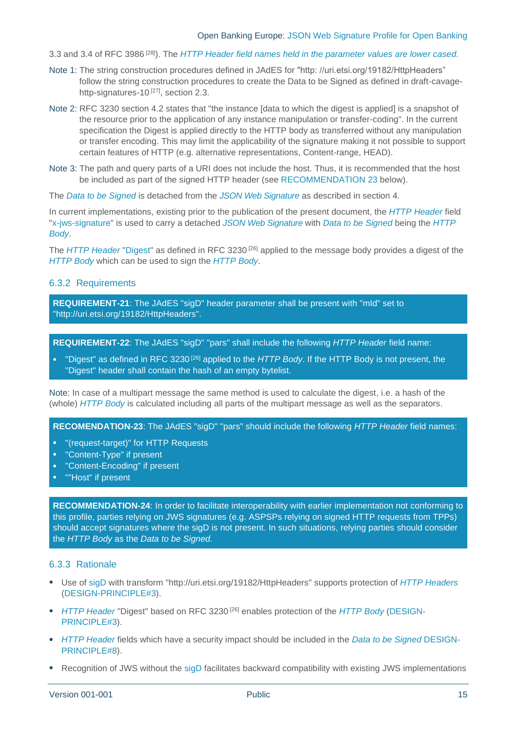3.3 and 3.4 of RFC 3986 [\[28\]](#page-18-4) ). The *[HTTP Header](#page-5-9) field names held in the parameter values are lower cased.*

- Note 1: The string construction procedures defined in JAdES for "http: //uri.etsi.org/19182/HttpHeaders" follow the string construction procedures to create the Data to be Signed as defined in draft-cavagehttp-signatures-10<sup>[27]</sup>, section 2.3.
- Note 2: RFC 3230 section 4.2 states that "the instance [data to which the digest is applied] is a snapshot of the resource prior to the application of any instance manipulation or transfer-coding". In the current specification the Digest is applied directly to the HTTP body as transferred without any manipulation or transfer encoding. This may limit the applicability of the signature making it not possible to support certain features of HTTP (e.g. alternative representations, Content-range, HEAD).
- Note 3: The path and query parts of a URI does not include the host. Thus, it is recommended that the host be included as part of the signed HTTP header (see RECOMMENDATION 23 below).

The *[Data to be Signed](#page-5-7)* is detached from the *[JSON Web Signature](#page-5-10)* as described in section [4.](#page-8-0)

In current implementations, existing prior to the publication of the present document, the *[HTTP Header](#page-5-9)* field "x-jws-signature" is used to carry a detached *[JSON Web Signature](#page-5-10)* with *[Data to be Signed](#page-5-7)* being the *[HTTP](#page-5-8) [Body](#page-5-8)*.

The *[HTTP Header](#page-5-9)* "Digest" as defined in RFC 3230 [\[26\]](#page-18-5) applied to the message body provides a digest of the *[HTTP](#page-5-8) Body* which can be used to sign the *[HTTP](#page-5-8) Body*.

#### 6.3.2 Requirements

**REQUIREMENT-21**: The JAdES "sigD" header parameter shall be present with "mId" set to "http://uri.etsi.org/19182/HttpHeaders".

**REQUIREMENT-22**: The JAdES "sigD" "pars" shall include the following *HTTP Header* field name:

• "Digest" as defined in RFC 3230 [\[26\]](#page-18-5) applied to the *[HTTP](#page-5-8) Body*. If the HTTP Body is not present, the "Digest" header shall contain the hash of an empty bytelist.

Note: In case of a multipart message the same method is used to calculate the digest, i.e. a hash of the (whole) *[HTTP](#page-5-8) Body* is calculated including all parts of the multipart message as well as the separators.

**RECOMENDATION-23**: The JAdES "sigD" "pars" should include the following *HTTP Header* field names:

- "(request-target)" for HTTP Requests
- "Content-Type" if present
- "Content-Encoding" if present
- ""Host" if present

**RECOMMENDATION-24**: In order to facilitate interoperability with earlier implementation not conforming to this profile, parties relying on JWS signatures (e.g. ASPSPs relying on signed HTTP requests from TPPs) should accept signatures where the sigD is not present. In such situations, relying parties should consider the *HTTP Body* as the *Data to be Signed.*

#### 6.3.3 Rationale

- Use of sigD with transform "http://uri.etsi.org/19182/HttpHeaders" supports protection of *[HTTP Headers](#page-5-9)* [\(DESIGN-PRINCIPLE#3\)](#page-6-11).
- *[HTTP Header](#page-5-9)* "Digest" based on RFC 3230 [\[26\]](#page-18-5) enables protection of the *[HTTP](#page-5-8) Body* [\(DESIGN-](#page-6-11)[PRINCIPLE#3\)](#page-6-11).
- *[HTTP Header](#page-5-9)* fields which have a security impact should be included in the *[Data to be Signed](#page-5-7)* [DESIGN-](#page-6-5)[PRINCIPLE#8\)](#page-6-5).
- Recognition of JWS without the sigD facilitates backward compatibility with existing JWS implementations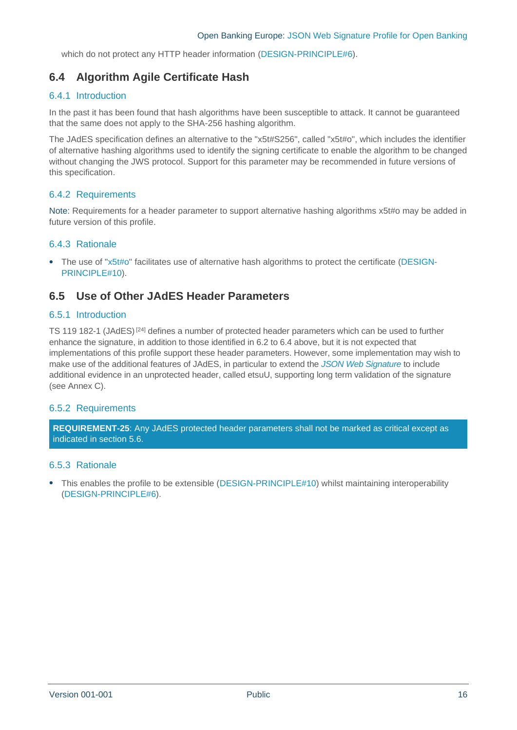which do not protect any HTTP header information [\(DESIGN-PRINCIPLE#6\)](#page-6-4).

## <span id="page-15-0"></span>**6.4 Algorithm Agile Certificate Hash**

## 6.4.1 Introduction

In the past it has been found that hash algorithms have been susceptible to attack. It cannot be guaranteed that the same does not apply to the SHA-256 hashing algorithm.

The JAdES specification defines an alternative to the "x5t#S256", called "x5t#o", which includes the identifier of alternative hashing algorithms used to identify the signing certificate to enable the algorithm to be changed without changing the JWS protocol. Support for this parameter may be recommended in future versions of this specification.

## 6.4.2 Requirements

Note: Requirements for a header parameter to support alternative hashing algorithms x5t#o may be added in future version of this profile.

## 6.4.3 Rationale

• The use of "x5t#o" facilitates use of alternative hash algorithms to protect the certificate [\(DESIGN-](#page-6-8)[PRINCIPLE#10\)](#page-6-8).

## <span id="page-15-1"></span>**6.5 Use of Other JAdES Header Parameters**

#### 6.5.1 Introduction

TS 119 182-1 (JAdES)<sup>[\[24\]](#page-18-1)</sup> defines a number of protected header parameters which can be used to further enhance the signature, in addition to those identified in [6.2](#page-13-2) t[o 6.4](#page-15-0) above, but it is not expected that implementations of this profile support these header parameters. However, some implementation may wish to make use of the additional features of JAdES, in particular to extend the *[JSON Web Signature](#page-5-10)* to include additional evidence in an unprotected header, called etsuU, supporting long term validation of the signature (see Annex C).

#### 6.5.2 Requirements

**REQUIREMENT-25**: Any JAdES protected header parameters shall not be marked as critical except as indicated in section [5.6.](#page-11-2)

#### 6.5.3 Rationale

• This enables the profile to be extensible [\(DESIGN-PRINCIPLE#10\)](#page-6-8) whilst maintaining interoperability [\(DESIGN-PRINCIPLE#6\)](#page-6-4).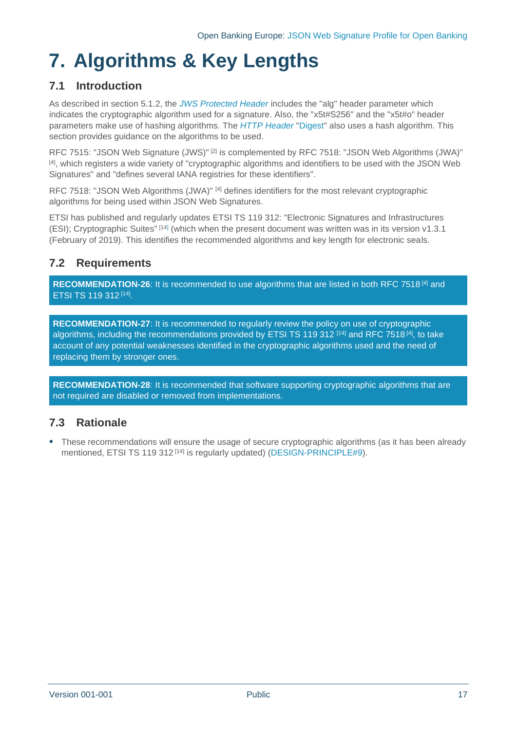# <span id="page-16-0"></span>**7. Algorithms & Key Lengths**

## <span id="page-16-1"></span>**7.1 Introduction**

As described in section [5.1.2,](#page-9-3) the *[JWS Protected Header](#page-5-4)* includes the "alg" header parameter which indicates the cryptographic algorithm used for a signature. Also, the "x5t#S256" and the "x5t#o" header parameters make use of hashing algorithms. The *[HTTP Header](#page-5-9)* "Digest" also uses a hash algorithm. This section provides guidance on the algorithms to be used.

[RFC 7515: "JSON Web Signature \(JWS\)"](#page-17-4)<sup>[\[2\]](#page-17-1)</sup> is complemented by [RFC 7518: "JSON Web Algorithms \(JWA\)"](#page-17-10) [\[4\]](#page-17-5) , which registers a wide variety of "cryptographic algorithms and identifiers to be used with the JSON Web Signatures" and "defines several IANA registries for these identifiers".

[RFC 7518: "JSON Web Algorithms \(JWA\)"](#page-17-10) [\[4\]](#page-17-5) defines identifiers for the most relevant cryptographic algorithms for being used within JSON Web Signatures.

ETSI has published and regularly updates [ETSI TS 119 312: "Electronic Signatures and Infrastructures](#page-17-11)  [\(ESI\); Cryptographic Suites"](#page-17-11) [\[14\]](#page-17-12) (which when the present document was written was in its version [v1.3.1](#page-17-13) (February of 2019). This identifies the recommended algorithms and key length for electronic seals.

## <span id="page-16-2"></span>**7.2 Requirements**

**RECOMMENDATION-26**: It is recommended to use algorithms that are listed in both [RFC 7518](#page-17-10) [\[4\]](#page-17-5) and [ETSI TS 119 312](#page-17-11) [\[14\]](#page-17-12).

**RECOMMENDATION-27**: It is recommended to regularly review the policy on use of cryptographic algorithms, including the recommendations provided by [ETSI TS 119 312](#page-17-11)  $^{[14]}$  $^{[14]}$  $^{[14]}$  and [RFC 7518](#page-17-10)  $^{[4]}$  $^{[4]}$  $^{[4]}$ , to take account of any potential weaknesses identified in the cryptographic algorithms used and the need of replacing them by stronger ones.

**RECOMMENDATION-28**: It is recommended that software supporting cryptographic algorithms that are not required are disabled or removed from implementations.

## <span id="page-16-3"></span>**7.3 Rationale**

• These recommendations will ensure the usage of secure cryptographic algorithms (as it has been already mentioned, [ETSI TS 119 312](#page-17-11)<sup>[\[14\]](#page-17-12)</sup> is regularly updated) [\(DESIGN-PRINCIPLE#9\)](#page-6-9).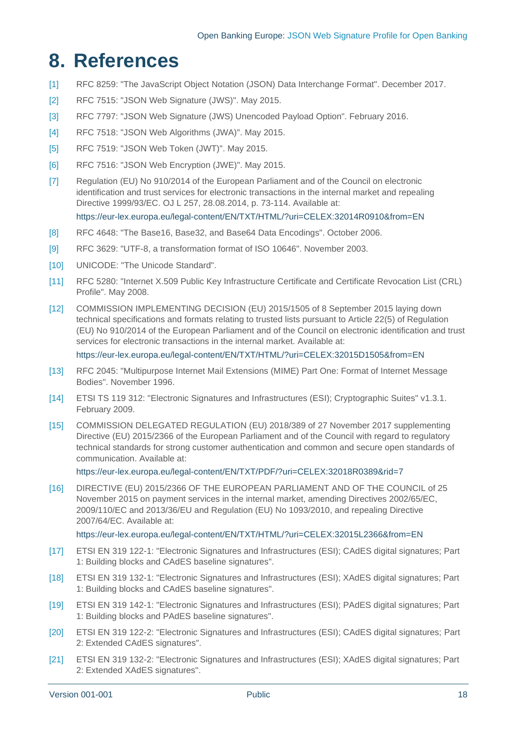## <span id="page-17-0"></span>**8. References**

- [1] RFC 8259: "The JavaScript Object Notation (JSON) Data Interchange Format". December 2017.
- <span id="page-17-4"></span><span id="page-17-1"></span>[2] RFC 7515: "JSON Web Signature (JWS)". May 2015.
- <span id="page-17-7"></span><span id="page-17-6"></span>[3] RFC 7797: "JSON Web Signature (JWS) Unencoded Payload Option". February 2016.
- <span id="page-17-10"></span><span id="page-17-5"></span>[4] RFC 7518: "JSON Web Algorithms (JWA)". May 2015.
- [5] RFC 7519: "JSON Web Token (JWT)". May 2015.
- [6] RFC 7516: "JSON Web Encryption (JWE)". May 2015.
- [7] Regulation (EU) No 910/2014 of the European Parliament and of the Council on electronic identification and trust services for electronic transactions in the internal market and repealing Directive 1999/93/EC. OJ L 257, 28.08.2014, p. 73-114. Available at: <https://eur-lex.europa.eu/legal-content/EN/TXT/HTML/?uri=CELEX:32014R0910&from=EN>

[8] RFC 4648: "The Base16, Base32, and Base64 Data Encodings". October 2006.

- [9] RFC 3629: "UTF-8, a transformation format of ISO 10646". November 2003.
- [10] UNICODE: "The Unicode Standard".
- [11] RFC 5280: "Internet X.509 Public Key Infrastructure Certificate and Certificate Revocation List (CRL) Profile". May 2008.
- [12] COMMISSION IMPLEMENTING DECISION (EU) 2015/1505 of 8 September 2015 laying down technical specifications and formats relating to trusted lists pursuant to Article 22(5) of Regulation (EU) No 910/2014 of the European Parliament and of the Council on electronic identification and trust services for electronic transactions in the internal market. Available at:

<span id="page-17-13"></span><span id="page-17-8"></span><https://eur-lex.europa.eu/legal-content/EN/TXT/HTML/?uri=CELEX:32015D1505&from=EN>

- <span id="page-17-9"></span>[13] RFC 2045: "Multipurpose Internet Mail Extensions (MIME) Part One: Format of Internet Message Bodies". November 1996.
- <span id="page-17-12"></span><span id="page-17-11"></span>[14] ETSI TS 119 312: "Electronic Signatures and Infrastructures (ESI); Cryptographic Suites" v1.3.1. February 2009.
- <span id="page-17-2"></span>[15] COMMISSION DELEGATED REGULATION (EU) 2018/389 of 27 November 2017 supplementing Directive (EU) 2015/2366 of the European Parliament and of the Council with regard to regulatory technical standards for strong customer authentication and common and secure open standards of communication. Available at:

<https://eur-lex.europa.eu/legal-content/EN/TXT/PDF/?uri=CELEX:32018R0389&rid=7>

[16] DIRECTIVE (EU) 2015/2366 OF THE EUROPEAN PARLIAMENT AND OF THE COUNCIL of 25 November 2015 on payment services in the internal market, amending Directives 2002/65/EC, 2009/110/EC and 2013/36/EU and Regulation (EU) No 1093/2010, and repealing Directive 2007/64/EC. Available at:

#### <https://eur-lex.europa.eu/legal-content/EN/TXT/HTML/?uri=CELEX:32015L2366&from=EN>

- <span id="page-17-3"></span>[17] ETSI EN 319 122-1: "Electronic Signatures and Infrastructures (ESI); CAdES digital signatures; Part 1: Building blocks and CAdES baseline signatures".
- [18] ETSI EN 319 132-1: "Electronic Signatures and Infrastructures (ESI); XAdES digital signatures; Part 1: Building blocks and CAdES baseline signatures".
- [19] ETSI EN 319 142-1: "Electronic Signatures and Infrastructures (ESI); PAdES digital signatures; Part 1: Building blocks and PAdES baseline signatures".
- [20] ETSI EN 319 122-2: "Electronic Signatures and Infrastructures (ESI); CAdES digital signatures; Part 2: Extended CAdES signatures".
- [21] ETSI EN 319 132-2: "Electronic Signatures and Infrastructures (ESI); XAdES digital signatures; Part 2: Extended XAdES signatures".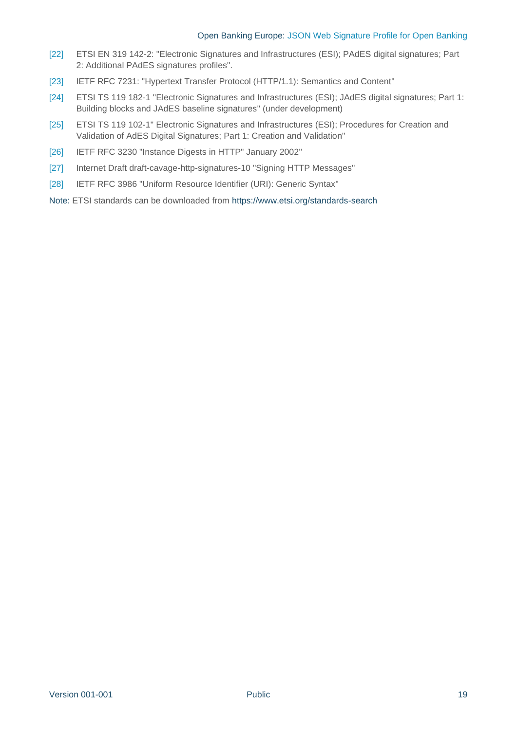#### Open Banking Europe: JSON Web Signature Profile for Open Banking

- <span id="page-18-2"></span>[22] ETSI EN 319 142-2: "Electronic Signatures and Infrastructures (ESI); PAdES digital signatures; Part 2: Additional PAdES signatures profiles".
- <span id="page-18-3"></span>[23] IETF RFC 7231: "Hypertext Transfer Protocol (HTTP/1.1): Semantics and Content"
- <span id="page-18-1"></span>[24] ETSI TS 119 182-1 "Electronic Signatures and Infrastructures (ESI); JAdES digital signatures; Part 1: Building blocks and JAdES baseline signatures" (under development)
- [25] ETSI TS 119 102-1" Electronic Signatures and Infrastructures (ESI); Procedures for Creation and Validation of AdES Digital Signatures; Part 1: Creation and Validation"
- <span id="page-18-5"></span>[26] IETF RFC 3230 "Instance Digests in HTTP" January 2002"
- <span id="page-18-0"></span>[27] Internet Draft draft-cavage-http-signatures-10 "Signing HTTP Messages"
- <span id="page-18-4"></span>[28] IETF RFC 3986 "Uniform Resource Identifier (URI): Generic Syntax"
- Note: ETSI standards can be downloaded from <https://www.etsi.org/standards-search>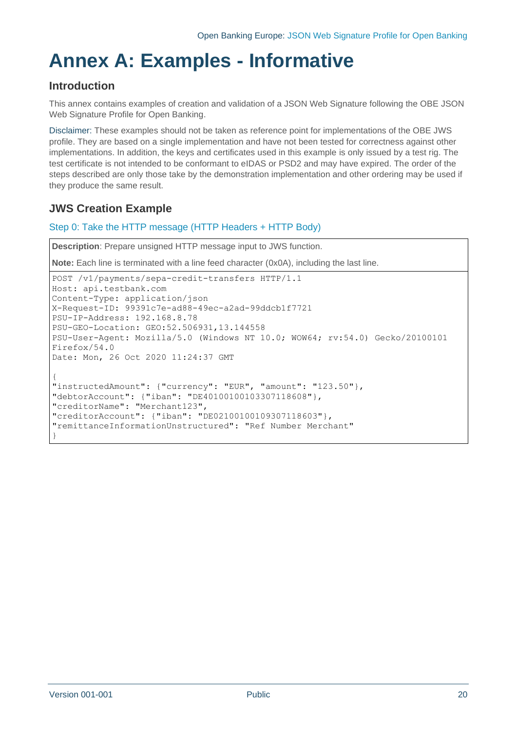# <span id="page-19-0"></span>**Annex A: Examples - Informative**

## **Introduction**

This annex contains examples of creation and validation of a JSON Web Signature following the OBE JSON Web Signature Profile for Open Banking.

Disclaimer: These examples should not be taken as reference point for implementations of the OBE JWS profile. They are based on a single implementation and have not been tested for correctness against other implementations. In addition, the keys and certificates used in this example is only issued by a test rig. The test certificate is not intended to be conformant to eIDAS or PSD2 and may have expired. The order of the steps described are only those take by the demonstration implementation and other ordering may be used if they produce the same result.

## **JWS Creation Example**

## Step 0: Take the HTTP message (HTTP Headers + HTTP Body)

**Description**: Prepare unsigned HTTP message input to JWS function.

**Note:** Each line is terminated with a line feed character (0x0A), including the last line.

```
POST /v1/payments/sepa-credit-transfers HTTP/1.1
Host: api.testbank.com
Content-Type: application/json
X-Request-ID: 99391c7e-ad88-49ec-a2ad-99ddcb1f7721
PSU-IP-Address: 192.168.8.78
PSU-GEO-Location: GEO:52.506931,13.144558
PSU-User-Agent: Mozilla/5.0 (Windows NT 10.0; WOW64; rv:54.0) Gecko/20100101 
Firefox/54.0
Date: Mon, 26 Oct 2020 11:24:37 GMT
{
"instructedAmount": {"currency": "EUR", "amount": "123.50"},
"debtorAccount": {"iban": "DE40100100103307118608"},
"creditorName": "Merchant123",
"creditorAccount": {"iban": "DE02100100109307118603"},
"remittanceInformationUnstructured": "Ref Number Merchant"
}
```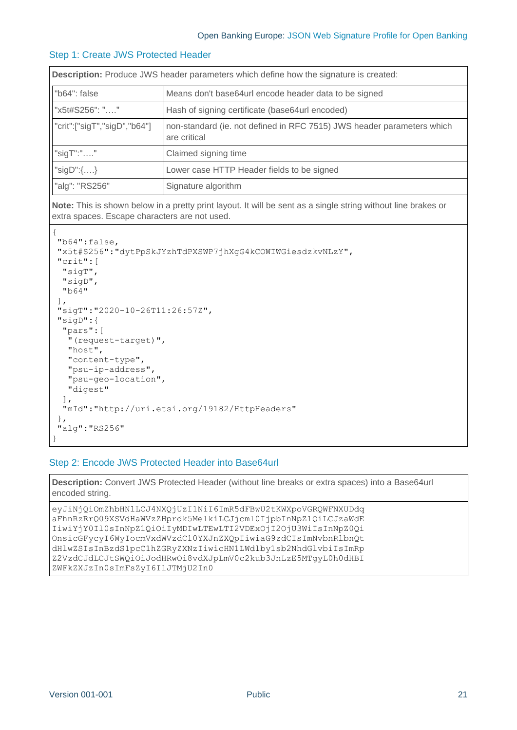#### Step 1: Create JWS Protected Header

| <b>Description:</b> Produce JWS header parameters which define how the signature is created: |                                                                                        |  |  |  |  |  |  |  |
|----------------------------------------------------------------------------------------------|----------------------------------------------------------------------------------------|--|--|--|--|--|--|--|
| "b64": false                                                                                 | Means don't base64url encode header data to be signed                                  |  |  |  |  |  |  |  |
| "x5t#S256": ""                                                                               | Hash of signing certificate (base64url encoded)                                        |  |  |  |  |  |  |  |
| "crit":["sigT","sigD","b64"]                                                                 | non-standard (ie. not defined in RFC 7515) JWS header parameters which<br>are critical |  |  |  |  |  |  |  |
| "sigT":" $\dots$ "                                                                           | Claimed signing time                                                                   |  |  |  |  |  |  |  |
| "sigD": $\{ \}$                                                                              | Lower case HTTP Header fields to be signed                                             |  |  |  |  |  |  |  |
| "alg": "RS256"                                                                               | Signature algorithm                                                                    |  |  |  |  |  |  |  |

**Note:** This is shown below in a pretty print layout. It will be sent as a single string without line brakes or extra spaces. Escape characters are not used.

```
{
"b64":false,
"x5t#S256":"dytPpSkJYzhTdPXSWP7jhXgG4kCOWIWGiesdzkvNLzY",
 "crit":[
  "sigT",
  "sigD",
  "b64"
\cdot"sigT":"2020-10-26T11:26:57Z",
"sigD":{
   "pars":[
    "(request-target)",
   "host",
    "content-type",
    "psu-ip-address",
    "psu-geo-location",
    "digest"
  ],
   "mId":"http://uri.etsi.org/19182/HttpHeaders"
},
"alg":"RS256"
}
```
#### Step 2: Encode JWS Protected Header into Base64url

**Description:** Convert JWS Protected Header (without line breaks or extra spaces) into a Base64url encoded string.

eyJiNjQiOmZhbHNlLCJ4NXQjUzI1NiI6ImR5dFBwU2tKWXpoVGRQWFNXUDdq aFhnRzRrQ09XSVdHaWVzZHprdk5MelkiLCJjcml0IjpbInNpZ1QiLCJzaWdE IiwiYjY0Il0sInNpZ1QiOiIyMDIwLTEwLTI2VDExOjI2OjU3WiIsInNpZ0Qi OnsicGFycyI6WyIocmVxdWVzdC10YXJnZXQpIiwiaG9zdCIsImNvbnRlbnQt dHlwZSIsInBzdS1pcC1hZGRyZXNzIiwicHN1LWdlby1sb2NhdGlvbiIsImRp Z2VzdCJdLCJtSWQiOiJodHRwOi8vdXJpLmV0c2kub3JnLzE5MTgyL0h0dHBI ZWFkZXJzIn0sImFsZyI6IlJTMjU2In0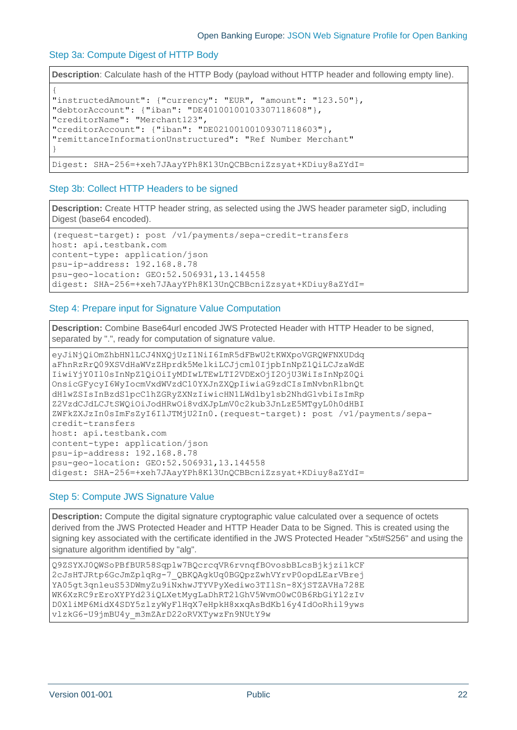#### Step 3a: Compute Digest of HTTP Body

**Description**: Calculate hash of the HTTP Body (payload without HTTP header and following empty line).

```
{
"instructedAmount": {"currency": "EUR", "amount": "123.50"},
"debtorAccount": {"iban": "DE40100100103307118608"},
"creditorName": "Merchant123",
"creditorAccount": {"iban": "DE02100100109307118603"},
"remittanceInformationUnstructured": "Ref Number Merchant"
}
Digest: SHA-256=+xeh7JAayYPh8K13UnQCBBcniZzsyat+KDiuy8aZYdI=
```
#### Step 3b: Collect HTTP Headers to be signed

**Description:** Create HTTP header string, as selected using the JWS header parameter sigD, including Digest (base64 encoded).

```
(request-target): post /v1/payments/sepa-credit-transfers
host: api.testbank.com
content-type: application/json
psu-ip-address: 192.168.8.78
psu-geo-location: GEO:52.506931,13.144558
digest: SHA-256=+xeh7JAayYPh8K13UnQCBBcniZzsyat+KDiuy8aZYdI=
```
#### Step 4: Prepare input for Signature Value Computation

**Description:** Combine Base64url encoded JWS Protected Header with HTTP Header to be signed, separated by ".", ready for computation of signature value.

```
eyJiNjQiOmZhbHNlLCJ4NXQjUzI1NiI6ImR5dFBwU2tKWXpoVGRQWFNXUDdq
aFhnRzRrQ09XSVdHaWVzZHprdk5MelkiLCJjcml0IjpbInNpZ1QiLCJzaWdE
IiwiYjY0Il0sInNpZ1QiOiIyMDIwLTEwLTI2VDExOjI2OjU3WiIsInNpZ0Qi
OnsicGFycyI6WyIocmVxdWVzdC10YXJnZXQpIiwiaG9zdCIsImNvbnRlbnQt
dHlwZSIsInBzdS1pcC1hZGRyZXNzIiwicHN1LWdlby1sb2NhdGlvbiIsImRp
Z2VzdCJdLCJtSWQiOiJodHRwOi8vdXJpLmV0c2kub3JnLzE5MTgyL0h0dHBI
ZWFkZXJzIn0sImFsZyI6IlJTMjU2In0.(request-target): post /v1/payments/sepa-
credit-transfers
host: api.testbank.com
content-type: application/json
psu-ip-address: 192.168.8.78
psu-geo-location: GEO:52.506931,13.144558
digest: SHA-256=+xeh7JAayYPh8K13UnQCBBcniZzsyat+KDiuy8aZYdI=
```
#### Step 5: Compute JWS Signature Value

**Description:** Compute the digital signature cryptographic value calculated over a sequence of octets derived from the JWS Protected Header and HTTP Header Data to be Signed. This is created using the signing key associated with the certificate identified in the JWS Protected Header "x5t#S256" and using the signature algorithm identified by "alg".

```
Q9ZSYXJ0QWSoPBfBUR58Sqplw7BQcrcqVR6rvnqfBOvosbBLcsBjkjzi1kCF
2cJsHTJRtp6GcJmZplqRg-7_QBKQAgkUq0BGQpzZwhVYrvP0opdLEarVBrej
YA05gt3qnleuS53DWmyZu9iNxhwJTYVPyXediwo3TIlSn-8XjSTZAVHa728E
WK6XzRC9rEroXYPYd23iQLXetMygLaDhRT2lGhV5WvmO0wC0B6RbGiYl2zIv
D0XliMP6MidX4SDY5zlzyWyFlHqX7eHpkH8xxqAsBdKb16y4IdOoRhil9yws
vlzkG6-U9jmBU4y_m3mZArD22oRVXTywzFn9NUtY9w
```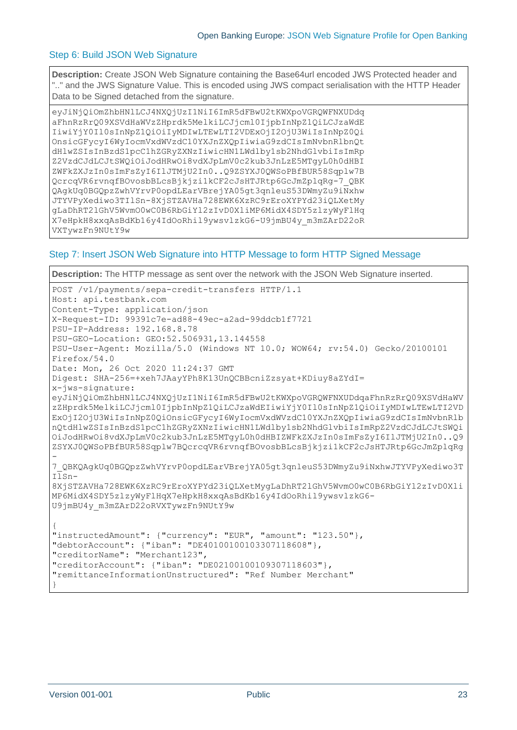#### Step 6: Build JSON Web Signature

**Description:** Create JSON Web Signature containing the Base64url encoded JWS Protected header and ".." and the JWS Signature Value. This is encoded using JWS compact serialisation with the HTTP Header Data to be Signed detached from the signature.

```
eyJiNjQiOmZhbHNlLCJ4NXQjUzI1NiI6ImR5dFBwU2tKWXpoVGRQWFNXUDdq
aFhnRzRrQ09XSVdHaWVzZHprdk5MelkiLCJjcml0IjpbInNpZ1QiLCJzaWdE
IiwiYjY0Il0sInNpZ1QiOiIyMDIwLTEwLTI2VDExOjI2OjU3WiIsInNpZ0Qi
OnsicGFycyI6WyIocmVxdWVzdC10YXJnZXQpIiwiaG9zdCIsImNvbnRlbnQt
dHlwZSIsInBzdS1pcC1hZGRyZXNzIiwicHN1LWdlby1sb2NhdGlvbiIsImRp
Z2VzdCJdLCJtSWQiOiJodHRwOi8vdXJpLmV0c2kub3JnLzE5MTgyL0h0dHBI
ZWFkZXJzIn0sImFsZyI6IlJTMjU2In0..Q9ZSYXJ0QWSoPBfBUR58Sqplw7B
QcrcqVR6rvnqfBOvosbBLcsBjkjzi1kCF2cJsHTJRtp6GcJmZplqRg-7_QBK
QAgkUq0BGQpzZwhVYrvP0opdLEarVBrejYA05gt3qnleuS53DWmyZu9iNxhw
JTYVPyXediwo3TIlSn-8XjSTZAVHa728EWK6XzRC9rEroXYPYd23iQLXetMy
gLaDhRT2lGhV5WvmO0wC0B6RbGiYl2zIvD0XliMP6MidX4SDY5zlzyWyFlHq
X7eHpkH8xxqAsBdKb16y4IdOoRhil9ywsvlzkG6-U9jmBU4y_m3mZArD22oR
VXTywzFn9NUtY9w
```
#### Step 7: Insert JSON Web Signature into HTTP Message to form HTTP Signed Message

```
Description: The HTTP message as sent over the network with the JSON Web Signature inserted.
POST /v1/payments/sepa-credit-transfers HTTP/1.1
Host: api.testbank.com
Content-Type: application/json
X-Request-ID: 99391c7e-ad88-49ec-a2ad-99ddcb1f7721
PSU-IP-Address: 192.168.8.78
PSU-GEO-Location: GEO:52.506931,13.144558
PSU-User-Agent: Mozilla/5.0 (Windows NT 10.0; WOW64; rv:54.0) Gecko/20100101 
Firefox/54.0
Date: Mon, 26 Oct 2020 11:24:37 GMT
Digest: SHA-256=+xeh7JAayYPh8K13UnQCBBcniZzsyat+KDiuy8aZYdI=
x-jws-signature: 
eyJiNjQiOmZhbHNlLCJ4NXQjUzI1NiI6ImR5dFBwU2tKWXpoVGRQWFNXUDdqaFhnRzRrQ09XSVdHaWV
zZHprdk5MelkiLCJjcml0IjpbInNpZ1QiLCJzaWdEIiwiYjY0Il0sInNpZ1QiOiIyMDIwLTEwLTI2VD
ExOjI2OjU3WiIsInNpZ0QiOnsicGFycyI6WyIocmVxdWVzdC10YXJnZXQpIiwiaG9zdCIsImNvbnRlb
nQtdHlwZSIsInBzdS1pcC1hZGRyZXNzIiwicHN1LWdlby1sb2NhdGlvbiIsImRpZ2VzdCJdLCJtSWQi
OiJodHRwOi8vdXJpLmV0c2kub3JnLzE5MTgyL0h0dHBIZWFkZXJzIn0sImFsZyI6IlJTMjU2In0..Q9
ZSYXJ0QWSoPBfBUR58Sqplw7BQcrcqVR6rvnqfBOvosbBLcsBjkjzi1kCF2cJsHTJRtp6GcJmZplqRg
-
7_QBKQAgkUq0BGQpzZwhVYrvP0opdLEarVBrejYA05gt3qnleuS53DWmyZu9iNxhwJTYVPyXediwo3T
IlSn-
8XjSTZAVHa728EWK6XzRC9rEroXYPYd23iQLXetMygLaDhRT2lGhV5WvmO0wC0B6RbGiYl2zIvD0Xli
MP6MidX4SDY5zlzyWyFlHqX7eHpkH8xxqAsBdKb16y4IdOoRhil9ywsvlzkG6-
U9jmBU4y_m3mZArD22oRVXTywzFn9NUtY9w
{
"instructedAmount": {"currency": "EUR", "amount": "123.50"},
"debtorAccount": {"iban": "DE40100100103307118608"},
"creditorName": "Merchant123",
"creditorAccount": {"iban": "DE02100100109307118603"},
"remittanceInformationUnstructured": "Ref Number Merchant"
}
```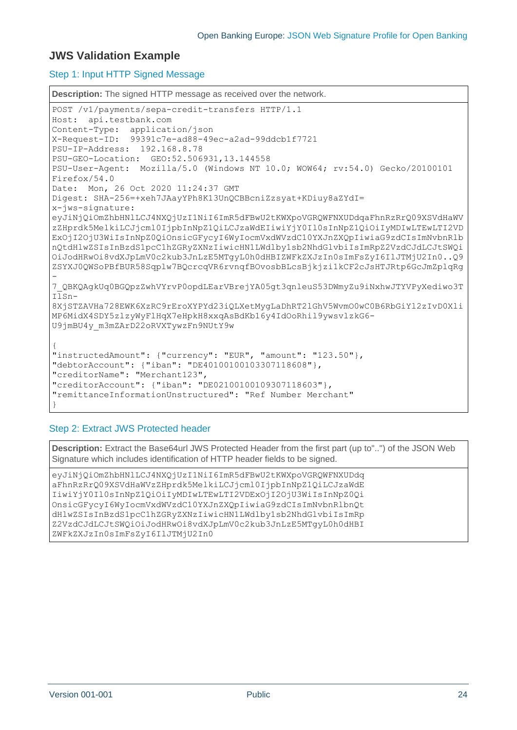## **JWS Validation Example**

#### Step 1: Input HTTP Signed Message

```
Description: The signed HTTP message as received over the network.
POST /v1/payments/sepa-credit-transfers HTTP/1.1
Host: api.testbank.com
Content-Type: application/json
X-Request-ID: 99391c7e-ad88-49ec-a2ad-99ddcb1f7721
PSU-IP-Address: 192.168.8.78
PSU-GEO-Location: GEO:52.506931,13.144558
PSU-User-Agent: Mozilla/5.0 (Windows NT 10.0; WOW64; rv:54.0) Gecko/20100101 
Firefox/54.0
Date: Mon, 26 Oct 2020 11:24:37 GMT
Digest: SHA-256=+xeh7JAayYPh8K13UnQCBBcniZzsyat+KDiuy8aZYdI=
x-jws-signature:
eyJiNjQiOmZhbHNlLCJ4NXQjUzI1NiI6ImR5dFBwU2tKWXpoVGRQWFNXUDdqaFhnRzRrQ09XSVdHaWV
zZHprdk5MelkiLCJjcml0IjpbInNpZ1QiLCJzaWdEIiwiYjY0Il0sInNpZ1QiOiIyMDIwLTEwLTI2VD
ExOjI2OjU3WiIsInNpZ0QiOnsicGFycyI6WyIocmVxdWVzdC10YXJnZXQpIiwiaG9zdCIsImNvbnRlb
nQtdHlwZSIsInBzdS1pcC1hZGRyZXNzIiwicHN1LWdlby1sb2NhdGlvbiIsImRpZ2VzdCJdLCJtSWQi
OiJodHRwOi8vdXJpLmV0c2kub3JnLzE5MTgyL0h0dHBIZWFkZXJzIn0sImFsZyI6IlJTMjU2In0..Q9
ZSYXJ0QWSoPBfBUR58Sqplw7BQcrcqVR6rvnqfBOvosbBLcsBjkjzi1kCF2cJsHTJRtp6GcJmZplqRg
-
7_QBKQAgkUq0BGQpzZwhVYrvP0opdLEarVBrejYA05gt3qnleuS53DWmyZu9iNxhwJTYVPyXediwo3T
IlSn-
8XjSTZAVHa728EWK6XzRC9rEroXYPYd23iQLXetMygLaDhRT2lGhV5WvmO0wC0B6RbGiYl2zIvD0Xli
MP6MidX4SDY5zlzyWyFlHqX7eHpkH8xxqAsBdKb16y4IdOoRhil9ywsvlzkG6-
U9jmBU4y_m3mZArD22oRVXTywzFn9NUtY9w
{
"instructedAmount": {"currency": "EUR", "amount": "123.50"},
"debtorAccount": {"iban": "DE40100100103307118608"},
"creditorName": "Merchant123",
"creditorAccount": {"iban": "DE02100100109307118603"},
"remittanceInformationUnstructured": "Ref Number Merchant"
}
```
## Step 2: Extract JWS Protected header

**Description:** Extract the Base64url JWS Protected Header from the first part (up to"..") of the JSON Web Signature which includes identification of HTTP header fields to be signed.

eyJiNjQiOmZhbHNlLCJ4NXQjUzI1NiI6ImR5dFBwU2tKWXpoVGRQWFNXUDdq aFhnRzRrQ09XSVdHaWVzZHprdk5MelkiLCJjcml0IjpbInNpZ1QiLCJzaWdE IiwiYjY0Il0sInNpZ1QiOiIyMDIwLTEwLTI2VDExOjI2OjU3WiIsInNpZ0Qi OnsicGFycyI6WyIocmVxdWVzdC10YXJnZXQpIiwiaG9zdCIsImNvbnRlbnQt dHlwZSIsInBzdS1pcC1hZGRyZXNzIiwicHN1LWdlby1sb2NhdGlvbiIsImRp Z2VzdCJdLCJtSWQiOiJodHRwOi8vdXJpLmV0c2kub3JnLzE5MTgyL0h0dHBI ZWFkZXJzIn0sImFsZyI6IlJTMjU2In0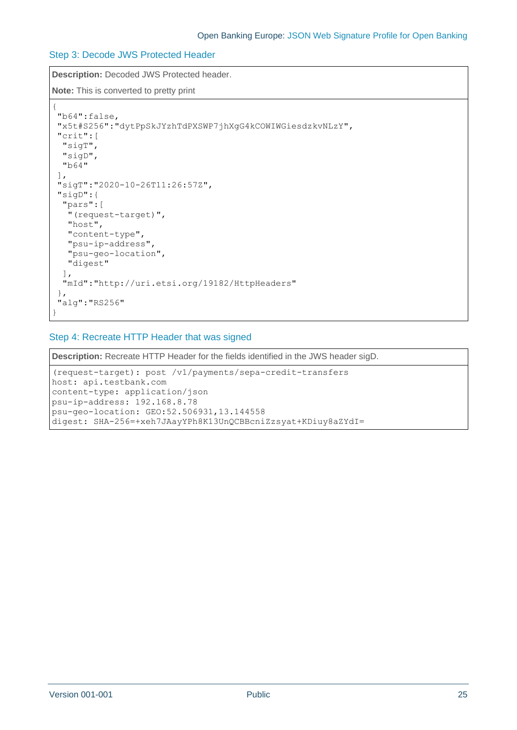## Step 3: Decode JWS Protected Header

**Description:** Decoded JWS Protected header. **Note:** This is converted to pretty print

```
{
"b64":false,
"x5t#S256":"dytPpSkJYzhTdPXSWP7jhXgG4kCOWIWGiesdzkvNLzY",
"crit":[
  "sigT",
  "sigD",
  "b64"
],
"sigT":"2020-10-26T11:26:57Z",
"sigD":{
  "pars":[
   "(request-target)",
   "host",
   "content-type",
   "psu-ip-address",
   "psu-geo-location",
   "digest"
  ],
  "mId":"http://uri.etsi.org/19182/HttpHeaders"
},
"alg":"RS256"
}
```
## Step 4: Recreate HTTP Header that was signed

**Description:** Recreate HTTP Header for the fields identified in the JWS header sigD.

```
(request-target): post /v1/payments/sepa-credit-transfers
host: api.testbank.com
content-type: application/json
psu-ip-address: 192.168.8.78
psu-geo-location: GEO:52.506931,13.144558
digest: SHA-256=+xeh7JAayYPh8K13UnQCBBcniZzsyat+KDiuy8aZYdI=
```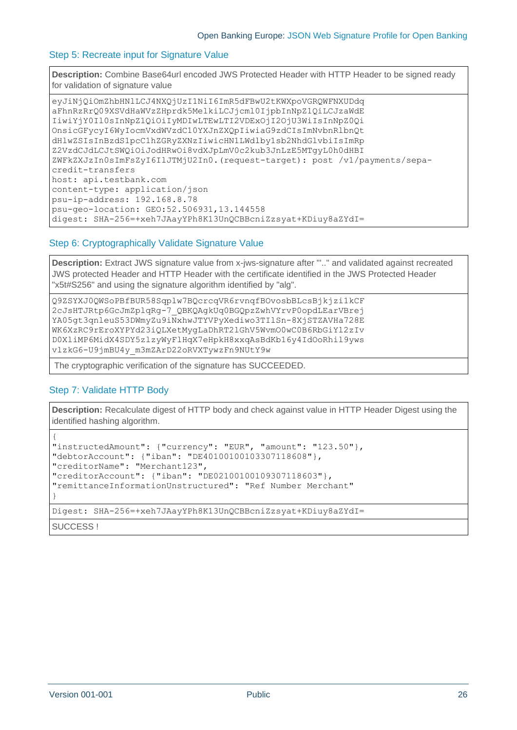#### Step 5: Recreate input for Signature Value

**Description:** Combine Base64url encoded JWS Protected Header with HTTP Header to be signed ready for validation of signature value

```
eyJiNjQiOmZhbHNlLCJ4NXQjUzI1NiI6ImR5dFBwU2tKWXpoVGRQWFNXUDdq
aFhnRzRrQ09XSVdHaWVzZHprdk5MelkiLCJjcml0IjpbInNpZ1QiLCJzaWdE
IiwiYjY0Il0sInNpZ1QiOiIyMDIwLTEwLTI2VDExOjI2OjU3WiIsInNpZ0Qi
OnsicGFycyI6WyIocmVxdWVzdC10YXJnZXQpIiwiaG9zdCIsImNvbnRlbnQt
dHlwZSIsInBzdS1pcC1hZGRyZXNzIiwicHN1LWdlby1sb2NhdGlvbiIsImRp
Z2VzdCJdLCJtSWQiOiJodHRwOi8vdXJpLmV0c2kub3JnLzE5MTgyL0h0dHBI
ZWFkZXJzIn0sImFsZyI6IlJTMjU2In0.(request-target): post /v1/payments/sepa-
credit-transfers
host: api.testbank.com
content-type: application/json
psu-ip-address: 192.168.8.78
psu-geo-location: GEO:52.506931,13.144558
digest: SHA-256=+xeh7JAayYPh8K13UnQCBBcniZzsyat+KDiuy8aZYdI=
```
#### Step 6: Cryptographically Validate Signature Value

**Description:** Extract JWS signature value from x-jws-signature after "'.." and validated against recreated JWS protected Header and HTTP Header with the certificate identified in the JWS Protected Header "x5t#S256" and using the signature algorithm identified by "alg".

```
Q9ZSYXJ0QWSoPBfBUR58Sqplw7BQcrcqVR6rvnqfBOvosbBLcsBjkjzi1kCF
2cJsHTJRtp6GcJmZplqRg-7_QBKQAgkUq0BGQpzZwhVYrvP0opdLEarVBrej
YA05gt3qnleuS53DWmyZu9iNxhwJTYVPyXediwo3TIlSn-8XjSTZAVHa728E
WK6XzRC9rEroXYPYd23iQLXetMygLaDhRT2lGhV5WvmO0wC0B6RbGiYl2zIv
D0XliMP6MidX4SDY5zlzyWyFlHqX7eHpkH8xxqAsBdKb16y4IdOoRhil9yws
vlzkG6-U9jmBU4y_m3mZArD22oRVXTywzFn9NUtY9w
```
The cryptographic verification of the signature has SUCCEEDED.

#### Step 7: Validate HTTP Body

**Description:** Recalculate digest of HTTP body and check against value in HTTP Header Digest using the identified hashing algorithm.

```
{
"instructedAmount": {"currency": "EUR", "amount": "123.50"},
"debtorAccount": {"iban": "DE40100100103307118608"},
"creditorName": "Merchant123",
"creditorAccount": {"iban": "DE02100100109307118603"},
"remittanceInformationUnstructured": "Ref Number Merchant"
}
Digest: SHA-256=+xeh7JAayYPh8K13UnQCBBcniZzsyat+KDiuy8aZYdI=
```
SUCCESS !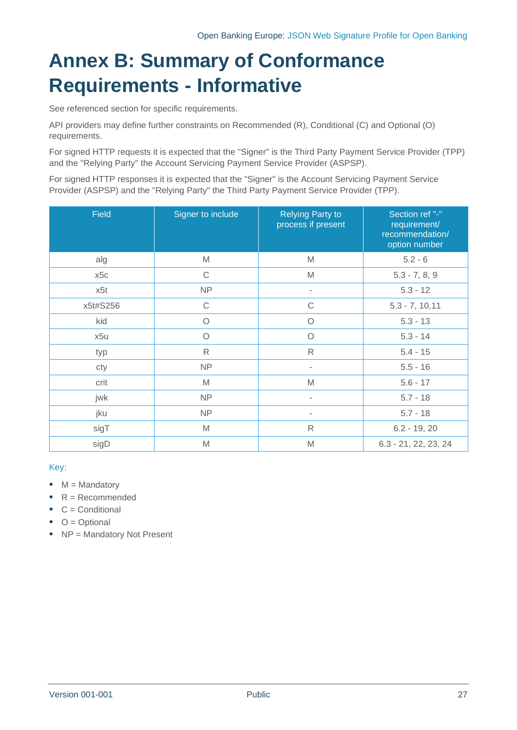# <span id="page-26-0"></span>**Annex B: Summary of Conformance Requirements - Informative**

See referenced section for specific requirements.

API providers may define further constraints on Recommended (R), Conditional (C) and Optional (O) requirements.

For signed HTTP requests it is expected that the "Signer" is the Third Party Payment Service Provider (TPP) and the "Relying Party" the Account Servicing Payment Service Provider (ASPSP).

For signed HTTP responses it is expected that the "Signer" is the Account Servicing Payment Service Provider (ASPSP) and the "Relying Party" the Third Party Payment Service Provider (TPP).

| <b>Field</b> | Signer to include | <b>Relying Party to</b><br>process if present | Section ref "-"<br>requirement/<br>recommendation/<br>option number |
|--------------|-------------------|-----------------------------------------------|---------------------------------------------------------------------|
| alg          | M                 | M                                             | $5.2 - 6$                                                           |
| x5c          | $\mathsf C$       | M                                             | $5.3 - 7, 8, 9$                                                     |
| x5t          | <b>NP</b>         | $\overline{\phantom{a}}$                      | $5.3 - 12$                                                          |
| x5t#S256     | $\mathsf C$       | $\mathsf C$                                   | $5.3 - 7, 10,11$                                                    |
| kid          | $\circ$           | $\circ$                                       | $5.3 - 13$                                                          |
| x5u          | $\circ$           | $\circ$                                       | $5.3 - 14$                                                          |
| typ          | $\mathsf{R}$      | $\mathsf{R}$                                  | $5.4 - 15$                                                          |
| cty          | <b>NP</b>         |                                               | $5.5 - 16$                                                          |
| crit         | M                 | M                                             | $5.6 - 17$                                                          |
| jwk          | <b>NP</b>         | $\blacksquare$                                | $5.7 - 18$                                                          |
| jku          | <b>NP</b>         |                                               | $5.7 - 18$                                                          |
| sigT         | M                 | R                                             | $6.2 - 19, 20$                                                      |
| sigD         | M                 | M                                             | $6.3 - 21, 22, 23, 24$                                              |

## Key:

- $\bullet$  M = Mandatory
- $\bullet$  R = Recommended
- $\bullet$   $C =$  Conditional
- $\bullet$  O = Optional
- NP = Mandatory Not Present